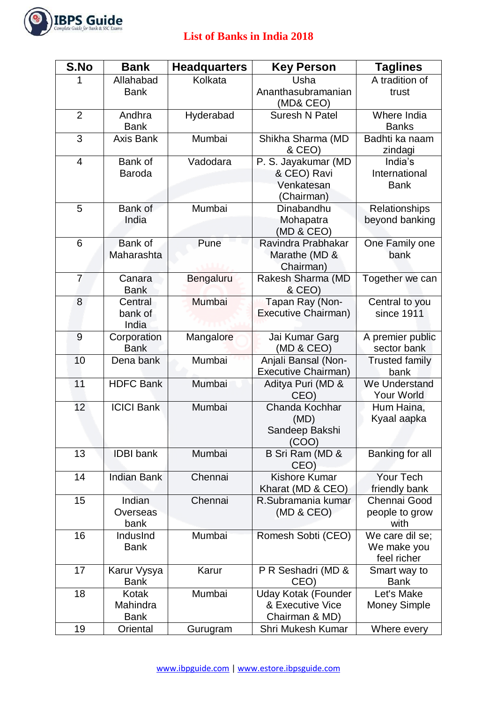

## **List of Banks in India 2018**

| S.No           | <b>Bank</b>                      | <b>Headquarters</b> | <b>Key Person</b>                                                | <b>Taglines</b>                               |
|----------------|----------------------------------|---------------------|------------------------------------------------------------------|-----------------------------------------------|
|                | Allahabad                        | Kolkata             | Usha                                                             | A tradition of                                |
|                | <b>Bank</b>                      |                     | Ananthasubramanian<br>(MD& CEO)                                  | trust                                         |
| $\overline{2}$ | Andhra<br><b>Bank</b>            | Hyderabad           | <b>Suresh N Patel</b>                                            | Where India<br><b>Banks</b>                   |
| 3              | <b>Axis Bank</b>                 | Mumbai              | Shikha Sharma (MD<br>& CEO)                                      | Badhti ka naam<br>zindagi                     |
| $\overline{4}$ | Bank of<br><b>Baroda</b>         | Vadodara            | P. S. Jayakumar (MD<br>& CEO) Ravi<br>Venkatesan<br>(Chairman)   | India's<br>International<br><b>Bank</b>       |
| 5              | Bank of<br>India                 | Mumbai              | Dinabandhu<br>Mohapatra<br>(MD & CEO)                            | Relationships<br>beyond banking               |
| 6              | Bank of<br>Maharashta            | Pune                | Ravindra Prabhakar<br>Marathe (MD &<br>Chairman)                 | One Family one<br>bank                        |
| $\overline{7}$ | Canara<br><b>Bank</b>            | Bengaluru           | Rakesh Sharma (MD<br>& CEO)                                      | Together we can                               |
| 8              | Central<br>bank of<br>India      | Mumbai              | Tapan Ray (Non-<br>Executive Chairman)                           | Central to you<br>since 1911                  |
| 9              | Corporation<br><b>Bank</b>       | Mangalore           | Jai Kumar Garg<br>(MD & CEO)                                     | A premier public<br>sector bank               |
| 10             | Dena bank                        | Mumbai              | Anjali Bansal (Non-<br>Executive Chairman)                       | <b>Trusted family</b><br>bank                 |
| 11             | <b>HDFC Bank</b>                 | Mumbai              | Aditya Puri (MD &<br>CEO)                                        | We Understand<br><b>Your World</b>            |
| 12             | <b>ICICI Bank</b>                | Mumbai              | Chanda Kochhar<br>(MD)<br>Sandeep Bakshi<br>(COO)                | Hum Haina,<br>Kyaal aapka                     |
| 13             | <b>IDBI</b> bank                 | Mumbai              | B Sri Ram (MD &<br>CEO)                                          | Banking for all                               |
| 14             | <b>Indian Bank</b>               | Chennai             | <b>Kishore Kumar</b><br>Kharat (MD & CEO)                        | Your Tech<br>friendly bank                    |
| 15             | Indian<br>Overseas<br>bank       | Chennai             | R.Subramania kumar<br>(MD & CEO)                                 | Chennai Good<br>people to grow<br>with        |
| 16             | IndusInd<br><b>Bank</b>          | Mumbai              | Romesh Sobti (CEO)                                               | We care dil se;<br>We make you<br>feel richer |
| 17             | Karur Vysya<br><b>Bank</b>       | Karur               | P R Seshadri (MD &<br>CEO)                                       | Smart way to<br><b>Bank</b>                   |
| 18             | Kotak<br>Mahindra<br><b>Bank</b> | Mumbai              | <b>Uday Kotak (Founder</b><br>& Executive Vice<br>Chairman & MD) | Let's Make<br><b>Money Simple</b>             |
| 19             | Oriental                         | Gurugram            | Shri Mukesh Kumar                                                | Where every                                   |